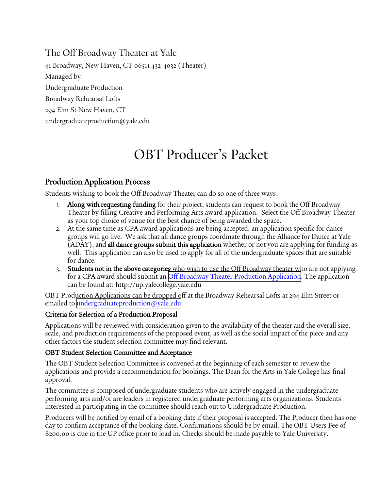The Off Broadway Theater at Yale

41 Broadway, New Haven, CT 06511 432-4032 (Theater) Managed by: Undergraduate Production Broadway Rehearsal Lofts 294 Elm St New Haven, CT undergraduateproduction@yale.edu

# OBT Producer's Packet

## Production Application Process

Students wishing to book the Off Broadway Theater can do so one of three ways:

- 1. Along with requesting funding for their project, students can request to book the Off Broadway Theater by filling Creative and Performing Arts award application. Select the Off Broadway Theater as your top choice of venue for the best chance of being awarded the space.
- 2. At the same time as CPA award applications are being accepted, an application specific for dance groups will go live. We ask that all dance groups coordinate through the Alliance for Dance at Yale (ADAY), and all dance groups submit this application whether or not you are applying for funding as well. This application can also be used to apply for all of the undergraduate spaces that are suitable for dance.
- 3. Students not in the above categories who wish to use the Off Broadway theater who are not applying for a CPA award should submit an [Off Broadway Theater Production Application](https://up.yalecollege.yale.edu/sites/default/files/files/Forms%20Page/UPForms_%20ProductionApplication%20OBT_Co-op8_26_16F.pdf). The application can be found at: http://up.yalecollege.yale.edu

OBT Production Applications can be dropped off at the Broadway Rehearsal Lofts at 294 Elm Street or emailed to [undergraduateproduction@yale.edu.](mailto:undergraduateproduction@yale.edu)

### Criteria for Selection of a Production Proposal

Applications will be reviewed with consideration given to the availability of the theater and the overall size, scale, and production requirements of the proposed event, as well as the social impact of the piece and any other factors the student selection committee may find relevant.

### OBT Student Selection Committee and Acceptance

The OBT Student Selection Committee is convened at the beginning of each semester to review the applications and provide a recommendation for bookings. The Dean for the Arts in Yale College has final approval.

The committee is composed of undergraduate students who are actively engaged in the undergraduate performing arts and/or are leaders in registered undergraduate performing arts organizations. Students interested in participating in the committee should reach out to Undergraduate Production.

Producers will be notified by email of a booking date if their proposal is accepted. The Producer then has one day to confirm acceptance of the booking date. Confirmations should be by email. The OBT Users Fee of \$200.00 is due in the UP office prior to load in. Checks should be made payable to Yale University.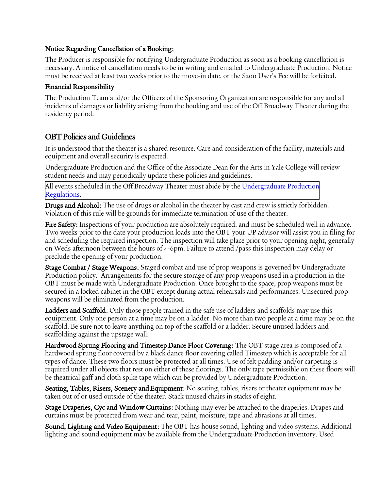### Notice Regarding Cancellation of a Booking:

The Producer is responsible for notifying Undergraduate Production as soon as a booking cancellation is necessary. A notice of cancellation needs to be in writing and emailed to Undergraduate Production. Notice must be received at least two weeks prior to the move-in date, or the \$200 User's Fee will be forfeited.

#### Financial Responsibility

The Production Team and/or the Officers of the Sponsoring Organization are responsible for any and all incidents of damages or liability arising from the booking and use of the Off Broadway Theater during the residency period.

## OBT Policies and Guidelines

It is understood that the theater is a shared resource. Care and consideration of the facility, materials and equipment and overall security is expected.

Undergraduate Production and the Office of the Associate Dean for the Arts in Yale College will review student needs and may periodically update these policies and guidelines.

[All events scheduled in the Off Broadway Theater must abide by the Undergraduate Production](https://up.yalecollege.yale.edu/policies/undergraduate-production-regulations) Regulations.

Drugs and Alcohol: The use of drugs or alcohol in the theater by cast and crew is strictly forbidden. Violation of this rule will be grounds for immediate termination of use of the theater.

Fire Safety: Inspections of your production are absolutely required, and must be scheduled well in advance. Two weeks prior to the date your production loads into the OBT your UP advisor will assist you in filing for and scheduling the required inspection. The inspection will take place prior to your opening night, generally on Weds afternoon between the hours of 4-6pm. Failure to attend /pass this inspection may delay or preclude the opening of your production.

**Stage Combat / Stage Weapons:** Staged combat and use of prop weapons is governed by Undergraduate Production policy. Arrangements for the secure storage of any prop weapons used in a production in the OBT must be made with Undergraduate Production. Once brought to the space, prop weapons must be secured in a locked cabinet in the OBT except during actual rehearsals and performances. Unsecured prop weapons will be eliminated from the production.

Ladders and Scaffold: Only those people trained in the safe use of ladders and scaffolds may use this equipment. Only one person at a time may be on a ladder. No more than two people at a time may be on the scaffold. Be sure not to leave anything on top of the scaffold or a ladder. Secure unused ladders and scaffolding against the upstage wall.

Hardwood Sprung Flooring and Timestep Dance Floor Covering: The OBT stage area is composed of a hardwood sprung floor covered by a black dance floor covering called Timestep which is acceptable for all types of dance. These two floors must be protected at all times. Use of felt padding and/or carpeting is required under all objects that rest on either of these floorings. The only tape permissible on these floors will be theatrical gaff and cloth spike tape which can be provided by Undergraduate Production.

Seating, Tables, Risers, Scenery and Equipment: No seating, tables, risers or theater equipment may be taken out of or used outside of the theater. Stack unused chairs in stacks of eight.

Stage Draperies, Cyc and Window Curtains: Nothing may ever be attached to the draperies. Drapes and curtains must be protected from wear and tear, paint, moisture, tape and abrasions at all times.

Sound, Lighting and Video Equipment: The OBT has house sound, lighting and video systems. Additional lighting and sound equipment may be available from the Undergraduate Production inventory. Used